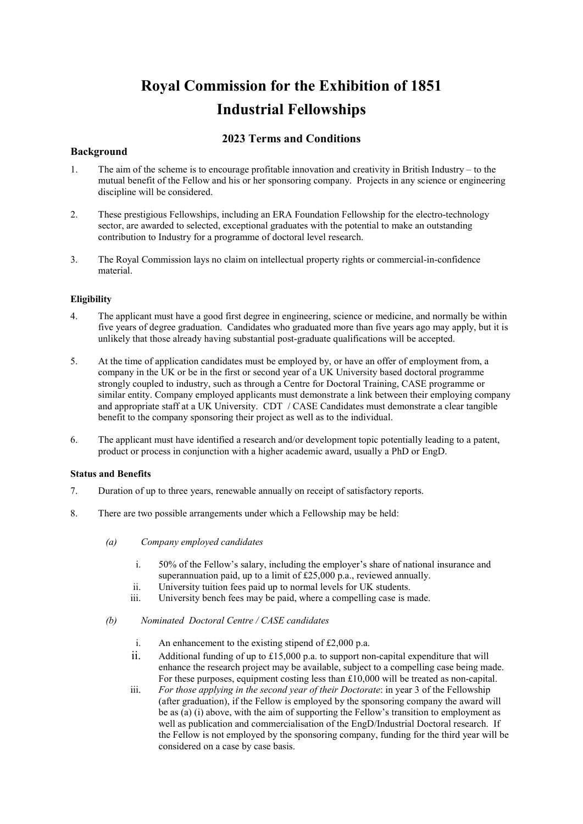# **Royal Commission for the Exhibition of 1851 Industrial Fellowships**

## **2023 Terms and Conditions**

### **Background**

- 1. The aim of the scheme is to encourage profitable innovation and creativity in British Industry to the mutual benefit of the Fellow and his or her sponsoring company. Projects in any science or engineering discipline will be considered.
- 2. These prestigious Fellowships, including an ERA Foundation Fellowship for the electro-technology sector, are awarded to selected, exceptional graduates with the potential to make an outstanding contribution to Industry for a programme of doctoral level research.
- 3. The Royal Commission lays no claim on intellectual property rights or commercial-in-confidence material.

### **Eligibility**

- 4. The applicant must have a good first degree in engineering, science or medicine, and normally be within five years of degree graduation. Candidates who graduated more than five years ago may apply, but it is unlikely that those already having substantial post-graduate qualifications will be accepted.
- 5. At the time of application candidates must be employed by, or have an offer of employment from, a company in the UK or be in the first or second year of a UK University based doctoral programme strongly coupled to industry, such as through a Centre for Doctoral Training, CASE programme or similar entity. Company employed applicants must demonstrate a link between their employing company and appropriate staff at a UK University. CDT / CASE Candidates must demonstrate a clear tangible benefit to the company sponsoring their project as well as to the individual.
- 6. The applicant must have identified a research and/or development topic potentially leading to a patent, product or process in conjunction with a higher academic award, usually a PhD or EngD.

### **Status and Benefits**

- 7. Duration of up to three years, renewable annually on receipt of satisfactory reports.
- 8. There are two possible arrangements under which a Fellowship may be held:
	- *(a) Company employed candidates*
		- i. 50% of the Fellow's salary, including the employer's share of national insurance and superannuation paid, up to a limit of £25,000 p.a., reviewed annually.
		- ii. University tuition fees paid up to normal levels for UK students.
		- iii. University bench fees may be paid, where a compelling case is made.
	- *(b) Nominated Doctoral Centre / CASE candidates*
		- i. An enhancement to the existing stipend of £2,000 p.a.
		- ii. Additional funding of up to £15,000 p.a. to support non-capital expenditure that will enhance the research project may be available, subject to a compelling case being made. For these purposes, equipment costing less than £10,000 will be treated as non-capital.
		- iii. *For those applying in the second year of their Doctorate*: in year 3 of the Fellowship (after graduation), if the Fellow is employed by the sponsoring company the award will be as (a) (i) above, with the aim of supporting the Fellow's transition to employment as well as publication and commercialisation of the EngD/Industrial Doctoral research. If the Fellow is not employed by the sponsoring company, funding for the third year will be considered on a case by case basis.